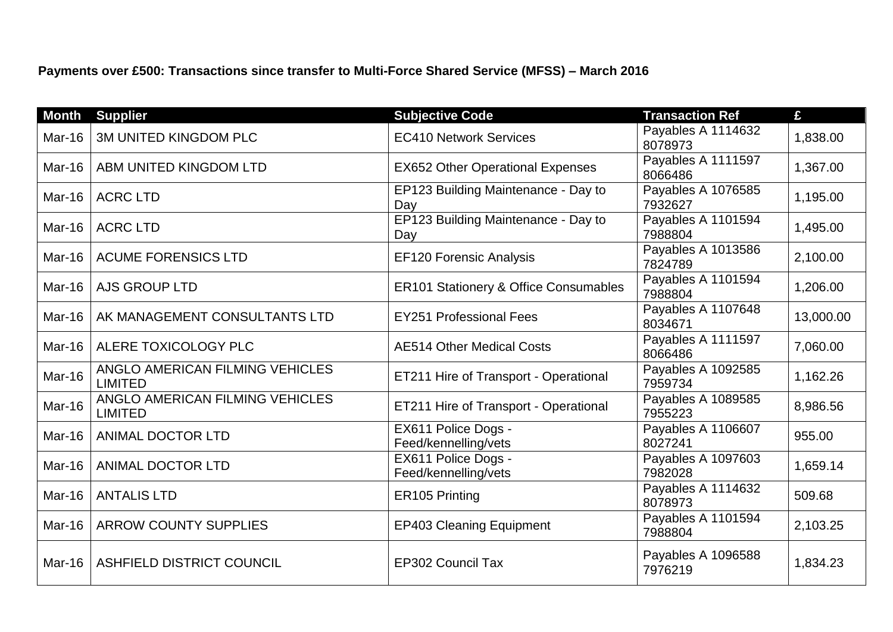**Payments over £500: Transactions since transfer to Multi-Force Shared Service (MFSS) – March 2016**

| <b>Month</b>  | <b>Supplier</b>                                   | <b>Subjective Code</b>                           | <b>Transaction Ref</b>        | £         |
|---------------|---------------------------------------------------|--------------------------------------------------|-------------------------------|-----------|
| Mar-16        | <b>3M UNITED KINGDOM PLC</b>                      | <b>EC410 Network Services</b>                    | Payables A 1114632<br>8078973 | 1,838.00  |
| <b>Mar-16</b> | ABM UNITED KINGDOM LTD                            | <b>EX652 Other Operational Expenses</b>          | Payables A 1111597<br>8066486 | 1,367.00  |
| Mar-16        | <b>ACRC LTD</b>                                   | EP123 Building Maintenance - Day to<br>Day       | Payables A 1076585<br>7932627 | 1,195.00  |
| Mar-16        | <b>ACRC LTD</b>                                   | EP123 Building Maintenance - Day to<br>Day       | Payables A 1101594<br>7988804 | 1,495.00  |
| <b>Mar-16</b> | <b>ACUME FORENSICS LTD</b>                        | <b>EF120 Forensic Analysis</b>                   | Payables A 1013586<br>7824789 | 2,100.00  |
| Mar-16        | <b>AJS GROUP LTD</b>                              | <b>ER101 Stationery &amp; Office Consumables</b> | Payables A 1101594<br>7988804 | 1,206.00  |
| Mar-16        | AK MANAGEMENT CONSULTANTS LTD                     | <b>EY251 Professional Fees</b>                   | Payables A 1107648<br>8034671 | 13,000.00 |
| Mar-16        | ALERE TOXICOLOGY PLC                              | <b>AE514 Other Medical Costs</b>                 | Payables A 1111597<br>8066486 | 7,060.00  |
| Mar-16        | ANGLO AMERICAN FILMING VEHICLES<br><b>LIMITED</b> | ET211 Hire of Transport - Operational            | Payables A 1092585<br>7959734 | 1,162.26  |
| Mar-16        | ANGLO AMERICAN FILMING VEHICLES<br><b>LIMITED</b> | ET211 Hire of Transport - Operational            | Payables A 1089585<br>7955223 | 8,986.56  |
| <b>Mar-16</b> | <b>ANIMAL DOCTOR LTD</b>                          | EX611 Police Dogs -<br>Feed/kennelling/vets      | Payables A 1106607<br>8027241 | 955.00    |
| Mar-16        | ANIMAL DOCTOR LTD                                 | EX611 Police Dogs -<br>Feed/kennelling/vets      | Payables A 1097603<br>7982028 | 1,659.14  |
| Mar-16        | <b>ANTALIS LTD</b>                                | ER105 Printing                                   | Payables A 1114632<br>8078973 | 509.68    |
| <b>Mar-16</b> | <b>ARROW COUNTY SUPPLIES</b>                      | <b>EP403 Cleaning Equipment</b>                  | Payables A 1101594<br>7988804 | 2,103.25  |
| Mar-16        | ASHFIELD DISTRICT COUNCIL                         | <b>EP302 Council Tax</b>                         | Payables A 1096588<br>7976219 | 1,834.23  |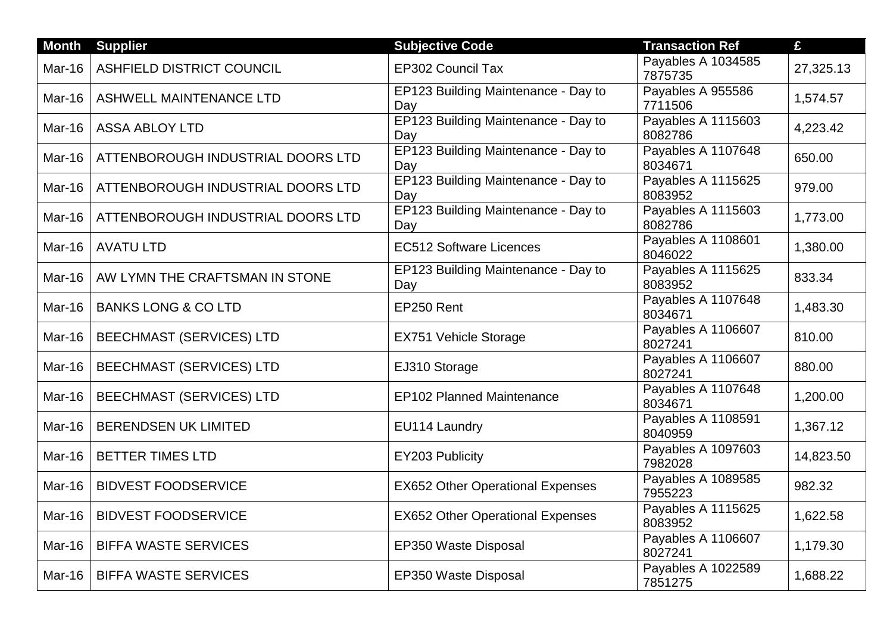| <b>Month</b>  | <b>Supplier</b>                   | <b>Subjective Code</b>                     | <b>Transaction Ref</b>        | £         |
|---------------|-----------------------------------|--------------------------------------------|-------------------------------|-----------|
| Mar-16        | <b>ASHFIELD DISTRICT COUNCIL</b>  | <b>EP302 Council Tax</b>                   | Payables A 1034585<br>7875735 | 27,325.13 |
| Mar-16        | ASHWELL MAINTENANCE LTD           | EP123 Building Maintenance - Day to<br>Day | Payables A 955586<br>7711506  | 1,574.57  |
| Mar-16        | <b>ASSA ABLOY LTD</b>             | EP123 Building Maintenance - Day to<br>Day | Payables A 1115603<br>8082786 | 4,223.42  |
| Mar-16        | ATTENBOROUGH INDUSTRIAL DOORS LTD | EP123 Building Maintenance - Day to<br>Day | Payables A 1107648<br>8034671 | 650.00    |
| Mar-16        | ATTENBOROUGH INDUSTRIAL DOORS LTD | EP123 Building Maintenance - Day to<br>Day | Payables A 1115625<br>8083952 | 979.00    |
| Mar-16        | ATTENBOROUGH INDUSTRIAL DOORS LTD | EP123 Building Maintenance - Day to<br>Day | Payables A 1115603<br>8082786 | 1,773.00  |
| Mar-16        | <b>AVATU LTD</b>                  | <b>EC512 Software Licences</b>             | Payables A 1108601<br>8046022 | 1,380.00  |
| <b>Mar-16</b> | AW LYMN THE CRAFTSMAN IN STONE    | EP123 Building Maintenance - Day to<br>Day | Payables A 1115625<br>8083952 | 833.34    |
| Mar-16        | <b>BANKS LONG &amp; CO LTD</b>    | EP250 Rent                                 | Payables A 1107648<br>8034671 | 1,483.30  |
| Mar-16        | <b>BEECHMAST (SERVICES) LTD</b>   | <b>EX751 Vehicle Storage</b>               | Payables A 1106607<br>8027241 | 810.00    |
| Mar-16        | <b>BEECHMAST (SERVICES) LTD</b>   | EJ310 Storage                              | Payables A 1106607<br>8027241 | 880.00    |
| <b>Mar-16</b> | <b>BEECHMAST (SERVICES) LTD</b>   | <b>EP102 Planned Maintenance</b>           | Payables A 1107648<br>8034671 | 1,200.00  |
| Mar-16        | <b>BERENDSEN UK LIMITED</b>       | EU114 Laundry                              | Payables A 1108591<br>8040959 | 1,367.12  |
| <b>Mar-16</b> | <b>BETTER TIMES LTD</b>           | EY203 Publicity                            | Payables A 1097603<br>7982028 | 14,823.50 |
| Mar-16        | <b>BIDVEST FOODSERVICE</b>        | <b>EX652 Other Operational Expenses</b>    | Payables A 1089585<br>7955223 | 982.32    |
| <b>Mar-16</b> | <b>BIDVEST FOODSERVICE</b>        | <b>EX652 Other Operational Expenses</b>    | Payables A 1115625<br>8083952 | 1,622.58  |
| Mar-16        | <b>BIFFA WASTE SERVICES</b>       | EP350 Waste Disposal                       | Payables A 1106607<br>8027241 | 1,179.30  |
| Mar-16        | <b>BIFFA WASTE SERVICES</b>       | EP350 Waste Disposal                       | Payables A 1022589<br>7851275 | 1,688.22  |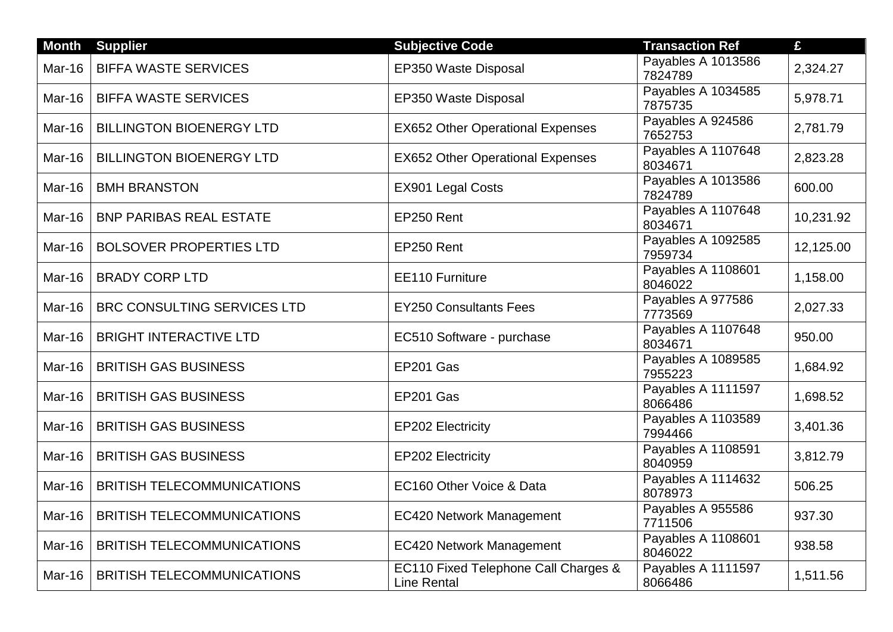| <b>Month</b>  | <b>Supplier</b>                    | <b>Subjective Code</b>                                     | <b>Transaction Ref</b>        | £         |
|---------------|------------------------------------|------------------------------------------------------------|-------------------------------|-----------|
| Mar-16        | <b>BIFFA WASTE SERVICES</b>        | EP350 Waste Disposal                                       | Payables A 1013586<br>7824789 | 2,324.27  |
| Mar-16        | <b>BIFFA WASTE SERVICES</b>        | EP350 Waste Disposal                                       | Payables A 1034585<br>7875735 | 5,978.71  |
| Mar-16        | <b>BILLINGTON BIOENERGY LTD</b>    | <b>EX652 Other Operational Expenses</b>                    | Payables A 924586<br>7652753  | 2,781.79  |
| Mar-16        | <b>BILLINGTON BIOENERGY LTD</b>    | <b>EX652 Other Operational Expenses</b>                    | Payables A 1107648<br>8034671 | 2,823.28  |
| Mar-16        | <b>BMH BRANSTON</b>                | EX901 Legal Costs                                          | Payables A 1013586<br>7824789 | 600.00    |
| Mar-16        | <b>BNP PARIBAS REAL ESTATE</b>     | EP250 Rent                                                 | Payables A 1107648<br>8034671 | 10,231.92 |
| Mar-16        | <b>BOLSOVER PROPERTIES LTD</b>     | EP250 Rent                                                 | Payables A 1092585<br>7959734 | 12,125.00 |
| Mar-16        | <b>BRADY CORP LTD</b>              | EE110 Furniture                                            | Payables A 1108601<br>8046022 | 1,158.00  |
| Mar-16        | <b>BRC CONSULTING SERVICES LTD</b> | <b>EY250 Consultants Fees</b>                              | Payables A 977586<br>7773569  | 2,027.33  |
| Mar-16        | <b>BRIGHT INTERACTIVE LTD</b>      | EC510 Software - purchase                                  | Payables A 1107648<br>8034671 | 950.00    |
| Mar-16        | <b>BRITISH GAS BUSINESS</b>        | EP201 Gas                                                  | Payables A 1089585<br>7955223 | 1,684.92  |
| Mar-16        | <b>BRITISH GAS BUSINESS</b>        | EP201 Gas                                                  | Payables A 1111597<br>8066486 | 1,698.52  |
| Mar-16        | <b>BRITISH GAS BUSINESS</b>        | <b>EP202 Electricity</b>                                   | Payables A 1103589<br>7994466 | 3,401.36  |
| Mar-16        | <b>BRITISH GAS BUSINESS</b>        | EP202 Electricity                                          | Payables A 1108591<br>8040959 | 3,812.79  |
| Mar-16        | <b>BRITISH TELECOMMUNICATIONS</b>  | EC160 Other Voice & Data                                   | Payables A 1114632<br>8078973 | 506.25    |
| <b>Mar-16</b> | <b>BRITISH TELECOMMUNICATIONS</b>  | <b>EC420 Network Management</b>                            | Payables A 955586<br>7711506  | 937.30    |
| Mar-16        | <b>BRITISH TELECOMMUNICATIONS</b>  | <b>EC420 Network Management</b>                            | Payables A 1108601<br>8046022 | 938.58    |
| Mar-16        | <b>BRITISH TELECOMMUNICATIONS</b>  | EC110 Fixed Telephone Call Charges &<br><b>Line Rental</b> | Payables A 1111597<br>8066486 | 1,511.56  |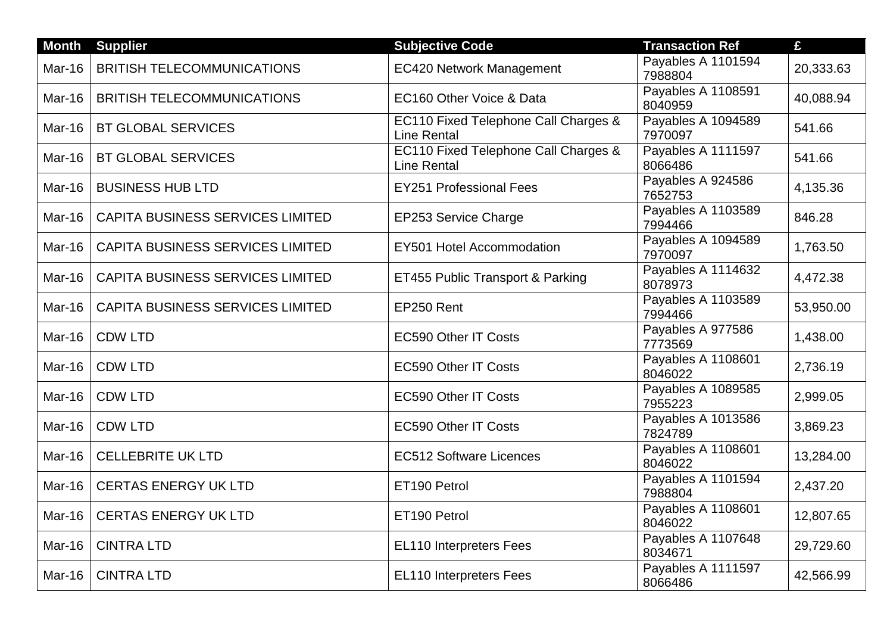| <b>Month</b>  | <b>Supplier</b>                         | <b>Subjective Code</b>                                     | <b>Transaction Ref</b>        | £         |
|---------------|-----------------------------------------|------------------------------------------------------------|-------------------------------|-----------|
| Mar-16        | <b>BRITISH TELECOMMUNICATIONS</b>       | <b>EC420 Network Management</b>                            | Payables A 1101594<br>7988804 | 20,333.63 |
| Mar-16        | <b>BRITISH TELECOMMUNICATIONS</b>       | EC160 Other Voice & Data                                   | Payables A 1108591<br>8040959 | 40,088.94 |
| Mar-16        | <b>BT GLOBAL SERVICES</b>               | EC110 Fixed Telephone Call Charges &<br><b>Line Rental</b> | Payables A 1094589<br>7970097 | 541.66    |
| Mar-16        | <b>BT GLOBAL SERVICES</b>               | EC110 Fixed Telephone Call Charges &<br><b>Line Rental</b> | Payables A 1111597<br>8066486 | 541.66    |
| Mar-16        | <b>BUSINESS HUB LTD</b>                 | <b>EY251 Professional Fees</b>                             | Payables A 924586<br>7652753  | 4,135.36  |
| Mar-16        | CAPITA BUSINESS SERVICES LIMITED        | EP253 Service Charge                                       | Payables A 1103589<br>7994466 | 846.28    |
| Mar-16        | <b>CAPITA BUSINESS SERVICES LIMITED</b> | EY501 Hotel Accommodation                                  | Payables A 1094589<br>7970097 | 1,763.50  |
| <b>Mar-16</b> | <b>CAPITA BUSINESS SERVICES LIMITED</b> | ET455 Public Transport & Parking                           | Payables A 1114632<br>8078973 | 4,472.38  |
| Mar-16        | <b>CAPITA BUSINESS SERVICES LIMITED</b> | EP250 Rent                                                 | Payables A 1103589<br>7994466 | 53,950.00 |
| Mar-16        | <b>CDW LTD</b>                          | <b>EC590 Other IT Costs</b>                                | Payables A 977586<br>7773569  | 1,438.00  |
| <b>Mar-16</b> | <b>CDW LTD</b>                          | <b>EC590 Other IT Costs</b>                                | Payables A 1108601<br>8046022 | 2,736.19  |
| Mar-16        | <b>CDW LTD</b>                          | <b>EC590 Other IT Costs</b>                                | Payables A 1089585<br>7955223 | 2,999.05  |
| Mar-16        | <b>CDW LTD</b>                          | <b>EC590 Other IT Costs</b>                                | Payables A 1013586<br>7824789 | 3,869.23  |
| <b>Mar-16</b> | <b>CELLEBRITE UK LTD</b>                | <b>EC512 Software Licences</b>                             | Payables A 1108601<br>8046022 | 13,284.00 |
| <b>Mar-16</b> | <b>CERTAS ENERGY UK LTD</b>             | ET190 Petrol                                               | Payables A 1101594<br>7988804 | 2,437.20  |
| <b>Mar-16</b> | <b>CERTAS ENERGY UK LTD</b>             | ET190 Petrol                                               | Payables A 1108601<br>8046022 | 12,807.65 |
| Mar-16        | <b>CINTRA LTD</b>                       | EL110 Interpreters Fees                                    | Payables A 1107648<br>8034671 | 29,729.60 |
| Mar-16        | <b>CINTRA LTD</b>                       | EL110 Interpreters Fees                                    | Payables A 1111597<br>8066486 | 42,566.99 |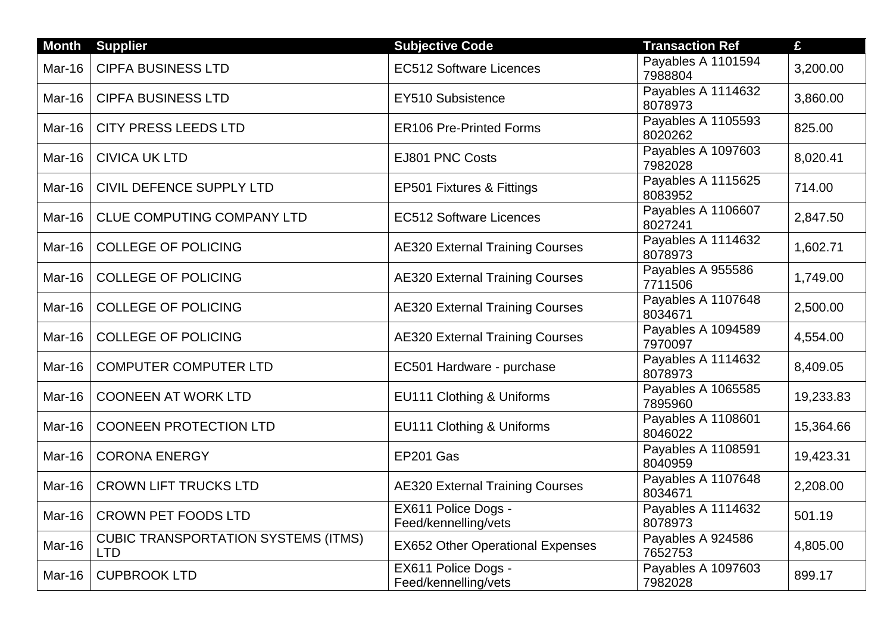| <b>Month</b> | <b>Supplier</b>                                          | <b>Subjective Code</b>                      | <b>Transaction Ref</b>        | £         |
|--------------|----------------------------------------------------------|---------------------------------------------|-------------------------------|-----------|
| Mar-16       | <b>CIPFA BUSINESS LTD</b>                                | <b>EC512 Software Licences</b>              | Payables A 1101594<br>7988804 | 3,200.00  |
| Mar-16       | <b>CIPFA BUSINESS LTD</b>                                | EY510 Subsistence                           | Payables A 1114632<br>8078973 | 3,860.00  |
| Mar-16       | <b>CITY PRESS LEEDS LTD</b>                              | <b>ER106 Pre-Printed Forms</b>              | Payables A 1105593<br>8020262 | 825.00    |
| Mar-16       | <b>CIVICA UK LTD</b>                                     | EJ801 PNC Costs                             | Payables A 1097603<br>7982028 | 8,020.41  |
| Mar-16       | CIVIL DEFENCE SUPPLY LTD                                 | EP501 Fixtures & Fittings                   | Payables A 1115625<br>8083952 | 714.00    |
| Mar-16       | <b>CLUE COMPUTING COMPANY LTD</b>                        | <b>EC512 Software Licences</b>              | Payables A 1106607<br>8027241 | 2,847.50  |
| Mar-16       | <b>COLLEGE OF POLICING</b>                               | <b>AE320 External Training Courses</b>      | Payables A 1114632<br>8078973 | 1,602.71  |
| Mar-16       | <b>COLLEGE OF POLICING</b>                               | <b>AE320 External Training Courses</b>      | Payables A 955586<br>7711506  | 1,749.00  |
| Mar-16       | <b>COLLEGE OF POLICING</b>                               | <b>AE320 External Training Courses</b>      | Payables A 1107648<br>8034671 | 2,500.00  |
| Mar-16       | <b>COLLEGE OF POLICING</b>                               | <b>AE320 External Training Courses</b>      | Payables A 1094589<br>7970097 | 4,554.00  |
| Mar-16       | <b>COMPUTER COMPUTER LTD</b>                             | EC501 Hardware - purchase                   | Payables A 1114632<br>8078973 | 8,409.05  |
| Mar-16       | <b>COONEEN AT WORK LTD</b>                               | EU111 Clothing & Uniforms                   | Payables A 1065585<br>7895960 | 19,233.83 |
| Mar-16       | <b>COONEEN PROTECTION LTD</b>                            | EU111 Clothing & Uniforms                   | Payables A 1108601<br>8046022 | 15,364.66 |
| Mar-16       | <b>CORONA ENERGY</b>                                     | EP201 Gas                                   | Payables A 1108591<br>8040959 | 19,423.31 |
| Mar-16       | <b>CROWN LIFT TRUCKS LTD</b>                             | <b>AE320 External Training Courses</b>      | Payables A 1107648<br>8034671 | 2,208.00  |
| Mar-16       | <b>CROWN PET FOODS LTD</b>                               | EX611 Police Dogs -<br>Feed/kennelling/vets | Payables A 1114632<br>8078973 | 501.19    |
| Mar-16       | <b>CUBIC TRANSPORTATION SYSTEMS (ITMS)</b><br><b>LTD</b> | <b>EX652 Other Operational Expenses</b>     | Payables A 924586<br>7652753  | 4,805.00  |
| Mar-16       | <b>CUPBROOK LTD</b>                                      | EX611 Police Dogs -<br>Feed/kennelling/vets | Payables A 1097603<br>7982028 | 899.17    |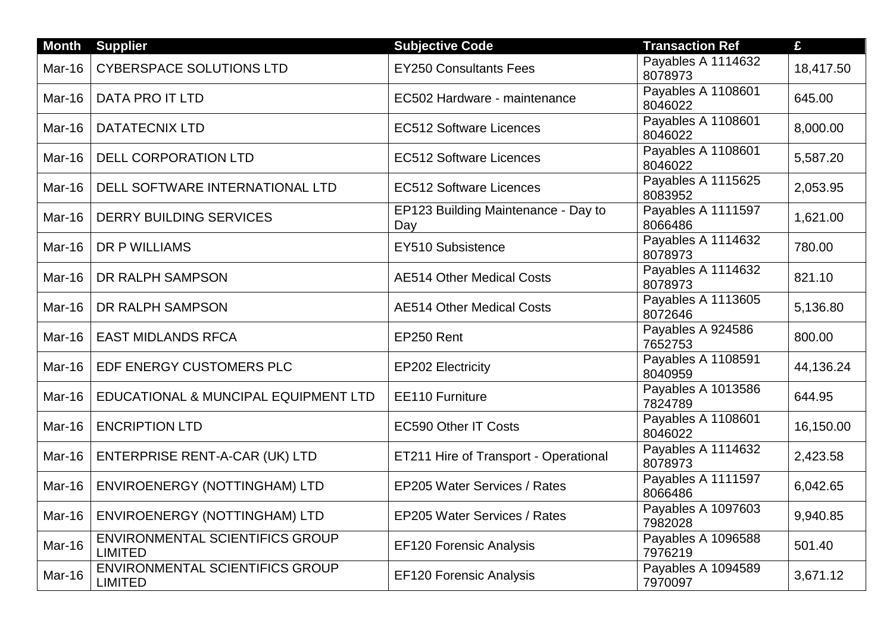| <b>Month</b> | <b>Supplier</b>                                          | <b>Subjective Code</b>                     | <b>Transaction Ref</b>        | £         |
|--------------|----------------------------------------------------------|--------------------------------------------|-------------------------------|-----------|
| Mar-16       | <b>CYBERSPACE SOLUTIONS LTD</b>                          | <b>EY250 Consultants Fees</b>              | Payables A 1114632<br>8078973 | 18,417.50 |
| Mar-16       | <b>DATA PRO IT LTD</b>                                   | EC502 Hardware - maintenance               | Payables A 1108601<br>8046022 | 645.00    |
| Mar-16       | <b>DATATECNIX LTD</b>                                    | <b>EC512 Software Licences</b>             | Payables A 1108601<br>8046022 | 8,000.00  |
| Mar-16       | <b>DELL CORPORATION LTD</b>                              | <b>EC512 Software Licences</b>             | Payables A 1108601<br>8046022 | 5,587.20  |
| Mar-16       | DELL SOFTWARE INTERNATIONAL LTD                          | <b>EC512 Software Licences</b>             | Payables A 1115625<br>8083952 | 2,053.95  |
| Mar-16       | <b>DERRY BUILDING SERVICES</b>                           | EP123 Building Maintenance - Day to<br>Day | Payables A 1111597<br>8066486 | 1,621.00  |
| Mar-16       | DR P WILLIAMS                                            | EY510 Subsistence                          | Payables A 1114632<br>8078973 | 780.00    |
| Mar-16       | DR RALPH SAMPSON                                         | <b>AE514 Other Medical Costs</b>           | Payables A 1114632<br>8078973 | 821.10    |
| Mar-16       | DR RALPH SAMPSON                                         | <b>AE514 Other Medical Costs</b>           | Payables A 1113605<br>8072646 | 5,136.80  |
| Mar-16       | <b>EAST MIDLANDS RFCA</b>                                | EP250 Rent                                 | Payables A 924586<br>7652753  | 800.00    |
| Mar-16       | EDF ENERGY CUSTOMERS PLC                                 | <b>EP202 Electricity</b>                   | Payables A 1108591<br>8040959 | 44,136.24 |
| Mar-16       | EDUCATIONAL & MUNCIPAL EQUIPMENT LTD                     | EE110 Furniture                            | Payables A 1013586<br>7824789 | 644.95    |
| Mar-16       | <b>ENCRIPTION LTD</b>                                    | <b>EC590 Other IT Costs</b>                | Payables A 1108601<br>8046022 | 16,150.00 |
| Mar-16       | ENTERPRISE RENT-A-CAR (UK) LTD                           | ET211 Hire of Transport - Operational      | Payables A 1114632<br>8078973 | 2,423.58  |
| Mar-16       | ENVIROENERGY (NOTTINGHAM) LTD                            | EP205 Water Services / Rates               | Payables A 1111597<br>8066486 | 6,042.65  |
| Mar-16       | <b>ENVIROENERGY (NOTTINGHAM) LTD</b>                     | <b>EP205 Water Services / Rates</b>        | Payables A 1097603<br>7982028 | 9,940.85  |
| Mar-16       | <b>ENVIRONMENTAL SCIENTIFICS GROUP</b><br><b>LIMITED</b> | <b>EF120 Forensic Analysis</b>             | Payables A 1096588<br>7976219 | 501.40    |
| Mar-16       | <b>ENVIRONMENTAL SCIENTIFICS GROUP</b><br><b>LIMITED</b> | <b>EF120 Forensic Analysis</b>             | Payables A 1094589<br>7970097 | 3,671.12  |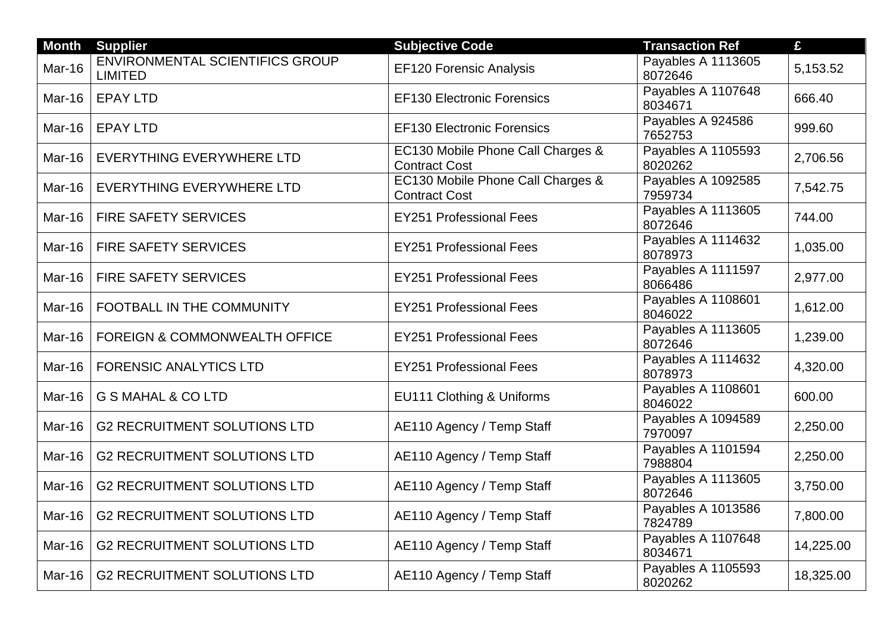| <b>Month</b>  | <b>Supplier</b>                                          | <b>Subjective Code</b>                                    | <b>Transaction Ref</b>        | £         |
|---------------|----------------------------------------------------------|-----------------------------------------------------------|-------------------------------|-----------|
| Mar-16        | <b>ENVIRONMENTAL SCIENTIFICS GROUP</b><br><b>LIMITED</b> | <b>EF120 Forensic Analysis</b>                            | Payables A 1113605<br>8072646 | 5,153.52  |
| Mar-16        | <b>EPAY LTD</b>                                          | <b>EF130 Electronic Forensics</b>                         | Payables A 1107648<br>8034671 | 666.40    |
| Mar-16        | <b>EPAY LTD</b>                                          | <b>EF130 Electronic Forensics</b>                         | Payables A 924586<br>7652753  | 999.60    |
| Mar-16        | <b>EVERYTHING EVERYWHERE LTD</b>                         | EC130 Mobile Phone Call Charges &<br><b>Contract Cost</b> | Payables A 1105593<br>8020262 | 2,706.56  |
| Mar-16        | <b>EVERYTHING EVERYWHERE LTD</b>                         | EC130 Mobile Phone Call Charges &<br><b>Contract Cost</b> | Payables A 1092585<br>7959734 | 7,542.75  |
| Mar-16        | FIRE SAFETY SERVICES                                     | <b>EY251 Professional Fees</b>                            | Payables A 1113605<br>8072646 | 744.00    |
| Mar-16        | <b>FIRE SAFETY SERVICES</b>                              | <b>EY251 Professional Fees</b>                            | Payables A 1114632<br>8078973 | 1,035.00  |
| <b>Mar-16</b> | <b>FIRE SAFETY SERVICES</b>                              | <b>EY251 Professional Fees</b>                            | Payables A 1111597<br>8066486 | 2,977.00  |
| Mar-16        | FOOTBALL IN THE COMMUNITY                                | <b>EY251 Professional Fees</b>                            | Payables A 1108601<br>8046022 | 1,612.00  |
| Mar-16        | <b>FOREIGN &amp; COMMONWEALTH OFFICE</b>                 | <b>EY251 Professional Fees</b>                            | Payables A 1113605<br>8072646 | 1,239.00  |
| Mar-16        | <b>FORENSIC ANALYTICS LTD</b>                            | <b>EY251 Professional Fees</b>                            | Payables A 1114632<br>8078973 | 4,320.00  |
| Mar-16        | <b>G S MAHAL &amp; CO LTD</b>                            | EU111 Clothing & Uniforms                                 | Payables A 1108601<br>8046022 | 600.00    |
| Mar-16        | <b>G2 RECRUITMENT SOLUTIONS LTD</b>                      | AE110 Agency / Temp Staff                                 | Payables A 1094589<br>7970097 | 2,250.00  |
| Mar-16        | <b>G2 RECRUITMENT SOLUTIONS LTD</b>                      | AE110 Agency / Temp Staff                                 | Payables A 1101594<br>7988804 | 2,250.00  |
| Mar-16        | <b>G2 RECRUITMENT SOLUTIONS LTD</b>                      | AE110 Agency / Temp Staff                                 | Payables A 1113605<br>8072646 | 3,750.00  |
| Mar-16        | <b>G2 RECRUITMENT SOLUTIONS LTD</b>                      | AE110 Agency / Temp Staff                                 | Payables A 1013586<br>7824789 | 7,800.00  |
| Mar-16        | <b>G2 RECRUITMENT SOLUTIONS LTD</b>                      | AE110 Agency / Temp Staff                                 | Payables A 1107648<br>8034671 | 14,225.00 |
| Mar-16        | <b>G2 RECRUITMENT SOLUTIONS LTD</b>                      | AE110 Agency / Temp Staff                                 | Payables A 1105593<br>8020262 | 18,325.00 |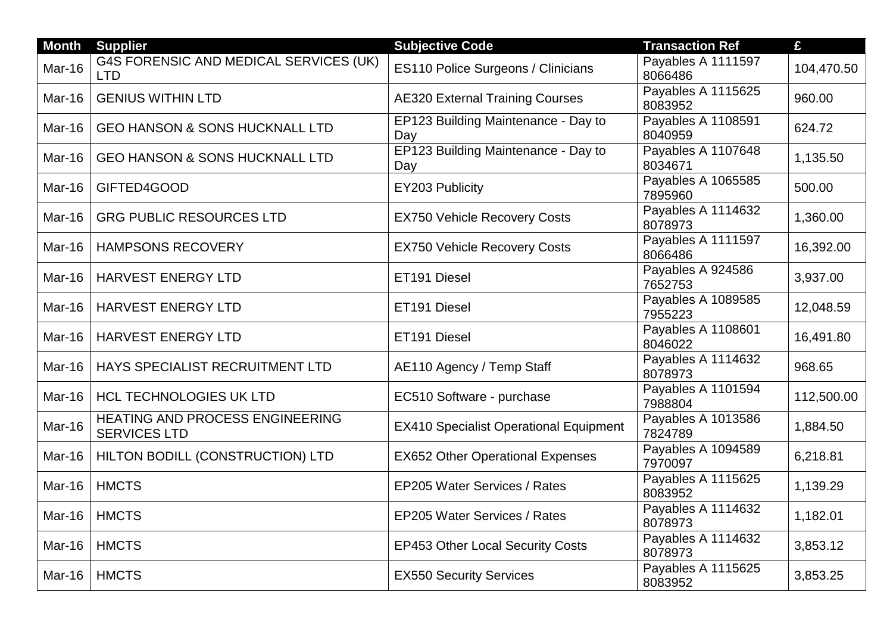| <b>Month</b>  | <b>Supplier</b>                                               | <b>Subjective Code</b>                        | <b>Transaction Ref</b>        | £          |
|---------------|---------------------------------------------------------------|-----------------------------------------------|-------------------------------|------------|
| Mar-16        | G4S FORENSIC AND MEDICAL SERVICES (UK)<br><b>LTD</b>          | <b>ES110 Police Surgeons / Clinicians</b>     | Payables A 1111597<br>8066486 | 104,470.50 |
| Mar-16        | <b>GENIUS WITHIN LTD</b>                                      | <b>AE320 External Training Courses</b>        | Payables A 1115625<br>8083952 | 960.00     |
| Mar-16        | <b>GEO HANSON &amp; SONS HUCKNALL LTD</b>                     | EP123 Building Maintenance - Day to<br>Day    | Payables A 1108591<br>8040959 | 624.72     |
| Mar-16        | <b>GEO HANSON &amp; SONS HUCKNALL LTD</b>                     | EP123 Building Maintenance - Day to<br>Day    | Payables A 1107648<br>8034671 | 1,135.50   |
| Mar-16        | GIFTED4GOOD                                                   | EY203 Publicity                               | Payables A 1065585<br>7895960 | 500.00     |
| Mar-16        | <b>GRG PUBLIC RESOURCES LTD</b>                               | <b>EX750 Vehicle Recovery Costs</b>           | Payables A 1114632<br>8078973 | 1,360.00   |
| Mar-16        | <b>HAMPSONS RECOVERY</b>                                      | <b>EX750 Vehicle Recovery Costs</b>           | Payables A 1111597<br>8066486 | 16,392.00  |
| Mar-16        | HARVEST ENERGY LTD                                            | ET191 Diesel                                  | Payables A 924586<br>7652753  | 3,937.00   |
| Mar-16        | <b>HARVEST ENERGY LTD</b>                                     | ET191 Diesel                                  | Payables A 1089585<br>7955223 | 12,048.59  |
| Mar-16        | <b>HARVEST ENERGY LTD</b>                                     | ET191 Diesel                                  | Payables A 1108601<br>8046022 | 16,491.80  |
| Mar-16        | HAYS SPECIALIST RECRUITMENT LTD                               | AE110 Agency / Temp Staff                     | Payables A 1114632<br>8078973 | 968.65     |
| Mar-16        | <b>HCL TECHNOLOGIES UK LTD</b>                                | EC510 Software - purchase                     | Payables A 1101594<br>7988804 | 112,500.00 |
| Mar-16        | <b>HEATING AND PROCESS ENGINEERING</b><br><b>SERVICES LTD</b> | <b>EX410 Specialist Operational Equipment</b> | Payables A 1013586<br>7824789 | 1,884.50   |
| Mar-16        | HILTON BODILL (CONSTRUCTION) LTD                              | <b>EX652 Other Operational Expenses</b>       | Payables A 1094589<br>7970097 | 6,218.81   |
| Mar-16        | <b>HMCTS</b>                                                  | EP205 Water Services / Rates                  | Payables A 1115625<br>8083952 | 1,139.29   |
| <b>Mar-16</b> | <b>HMCTS</b>                                                  | EP205 Water Services / Rates                  | Payables A 1114632<br>8078973 | 1,182.01   |
| Mar-16        | <b>HMCTS</b>                                                  | <b>EP453 Other Local Security Costs</b>       | Payables A 1114632<br>8078973 | 3,853.12   |
| Mar-16        | <b>HMCTS</b>                                                  | <b>EX550 Security Services</b>                | Payables A 1115625<br>8083952 | 3,853.25   |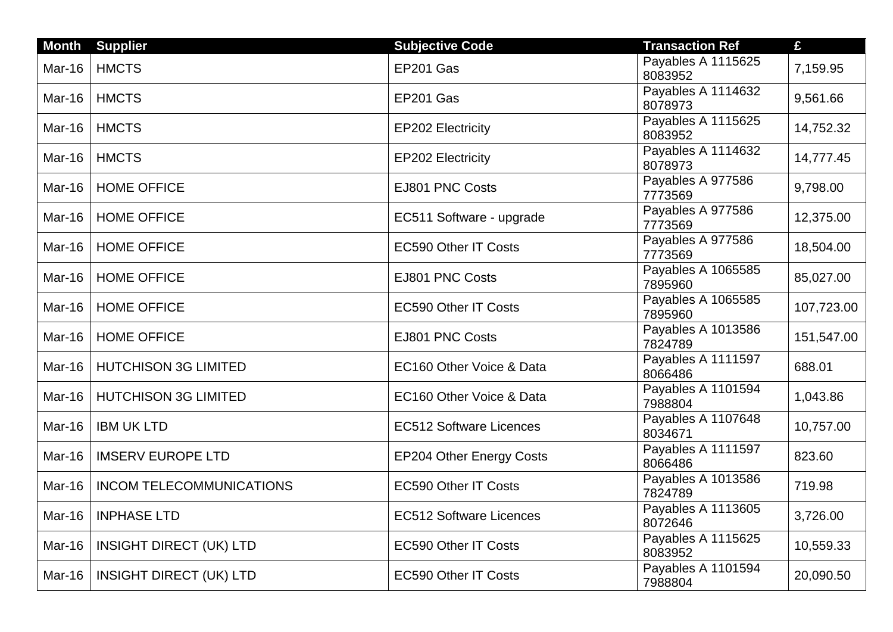| <b>Month</b>  | <b>Supplier</b>                 | <b>Subjective Code</b>          | <b>Transaction Ref</b>        | £          |
|---------------|---------------------------------|---------------------------------|-------------------------------|------------|
| Mar-16        | <b>HMCTS</b>                    | EP201 Gas                       | Payables A 1115625<br>8083952 | 7,159.95   |
| Mar-16        | <b>HMCTS</b>                    | EP201 Gas                       | Payables A 1114632<br>8078973 | 9,561.66   |
| Mar-16        | <b>HMCTS</b>                    | <b>EP202 Electricity</b>        | Payables A 1115625<br>8083952 | 14,752.32  |
| Mar-16        | <b>HMCTS</b>                    | <b>EP202 Electricity</b>        | Payables A 1114632<br>8078973 | 14,777.45  |
| Mar-16        | <b>HOME OFFICE</b>              | EJ801 PNC Costs                 | Payables A 977586<br>7773569  | 9,798.00   |
| Mar-16        | <b>HOME OFFICE</b>              | EC511 Software - upgrade        | Payables A 977586<br>7773569  | 12,375.00  |
| Mar-16        | <b>HOME OFFICE</b>              | <b>EC590 Other IT Costs</b>     | Payables A 977586<br>7773569  | 18,504.00  |
| Mar-16        | <b>HOME OFFICE</b>              | EJ801 PNC Costs                 | Payables A 1065585<br>7895960 | 85,027.00  |
| Mar-16        | <b>HOME OFFICE</b>              | EC590 Other IT Costs            | Payables A 1065585<br>7895960 | 107,723.00 |
| Mar-16        | <b>HOME OFFICE</b>              | EJ801 PNC Costs                 | Payables A 1013586<br>7824789 | 151,547.00 |
| Mar-16        | <b>HUTCHISON 3G LIMITED</b>     | EC160 Other Voice & Data        | Payables A 1111597<br>8066486 | 688.01     |
| Mar-16        | <b>HUTCHISON 3G LIMITED</b>     | EC160 Other Voice & Data        | Payables A 1101594<br>7988804 | 1,043.86   |
| <b>Mar-16</b> | <b>IBM UK LTD</b>               | <b>EC512 Software Licences</b>  | Payables A 1107648<br>8034671 | 10,757.00  |
| Mar-16        | <b>IMSERV EUROPE LTD</b>        | <b>EP204 Other Energy Costs</b> | Payables A 1111597<br>8066486 | 823.60     |
| <b>Mar-16</b> | <b>INCOM TELECOMMUNICATIONS</b> | <b>EC590 Other IT Costs</b>     | Payables A 1013586<br>7824789 | 719.98     |
| Mar-16        | <b>INPHASE LTD</b>              | <b>EC512 Software Licences</b>  | Payables A 1113605<br>8072646 | 3,726.00   |
| Mar-16        | <b>INSIGHT DIRECT (UK) LTD</b>  | <b>EC590 Other IT Costs</b>     | Payables A 1115625<br>8083952 | 10,559.33  |
| Mar-16        | <b>INSIGHT DIRECT (UK) LTD</b>  | <b>EC590 Other IT Costs</b>     | Payables A 1101594<br>7988804 | 20,090.50  |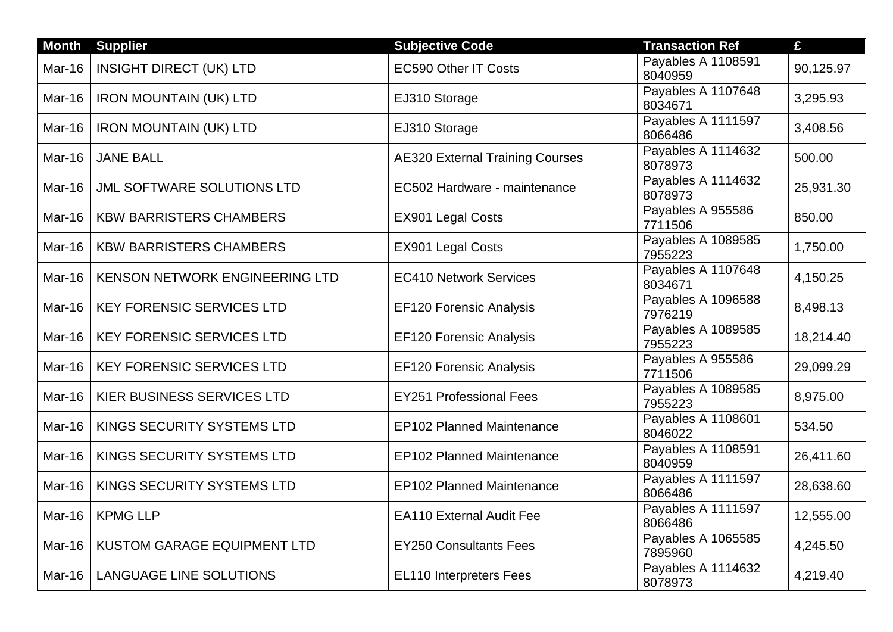| <b>Month</b>  | <b>Supplier</b>                   | <b>Subjective Code</b>                 | <b>Transaction Ref</b>        | £         |
|---------------|-----------------------------------|----------------------------------------|-------------------------------|-----------|
| Mar-16        | <b>INSIGHT DIRECT (UK) LTD</b>    | <b>EC590 Other IT Costs</b>            | Payables A 1108591<br>8040959 | 90,125.97 |
| Mar-16        | <b>IRON MOUNTAIN (UK) LTD</b>     | EJ310 Storage                          | Payables A 1107648<br>8034671 | 3,295.93  |
| Mar-16        | <b>IRON MOUNTAIN (UK) LTD</b>     | EJ310 Storage                          | Payables A 1111597<br>8066486 | 3,408.56  |
| Mar-16        | <b>JANE BALL</b>                  | <b>AE320 External Training Courses</b> | Payables A 1114632<br>8078973 | 500.00    |
| Mar-16        | <b>JML SOFTWARE SOLUTIONS LTD</b> | EC502 Hardware - maintenance           | Payables A 1114632<br>8078973 | 25,931.30 |
| Mar-16        | <b>KBW BARRISTERS CHAMBERS</b>    | EX901 Legal Costs                      | Payables A 955586<br>7711506  | 850.00    |
| Mar-16        | <b>KBW BARRISTERS CHAMBERS</b>    | EX901 Legal Costs                      | Payables A 1089585<br>7955223 | 1,750.00  |
| Mar-16        | KENSON NETWORK ENGINEERING LTD    | <b>EC410 Network Services</b>          | Payables A 1107648<br>8034671 | 4,150.25  |
| Mar-16        | <b>KEY FORENSIC SERVICES LTD</b>  | <b>EF120 Forensic Analysis</b>         | Payables A 1096588<br>7976219 | 8,498.13  |
| Mar-16        | <b>KEY FORENSIC SERVICES LTD</b>  | <b>EF120 Forensic Analysis</b>         | Payables A 1089585<br>7955223 | 18,214.40 |
| Mar-16        | <b>KEY FORENSIC SERVICES LTD</b>  | <b>EF120 Forensic Analysis</b>         | Payables A 955586<br>7711506  | 29,099.29 |
| Mar-16        | KIER BUSINESS SERVICES LTD        | <b>EY251 Professional Fees</b>         | Payables A 1089585<br>7955223 | 8,975.00  |
| Mar-16        | KINGS SECURITY SYSTEMS LTD        | <b>EP102 Planned Maintenance</b>       | Payables A 1108601<br>8046022 | 534.50    |
| Mar-16        | KINGS SECURITY SYSTEMS LTD        | <b>EP102 Planned Maintenance</b>       | Payables A 1108591<br>8040959 | 26,411.60 |
| Mar-16        | KINGS SECURITY SYSTEMS LTD        | <b>EP102 Planned Maintenance</b>       | Payables A 1111597<br>8066486 | 28,638.60 |
| <b>Mar-16</b> | <b>KPMG LLP</b>                   | <b>EA110 External Audit Fee</b>        | Payables A 1111597<br>8066486 | 12,555.00 |
| Mar-16        | KUSTOM GARAGE EQUIPMENT LTD       | <b>EY250 Consultants Fees</b>          | Payables A 1065585<br>7895960 | 4,245.50  |
| Mar-16        | <b>LANGUAGE LINE SOLUTIONS</b>    | EL110 Interpreters Fees                | Payables A 1114632<br>8078973 | 4,219.40  |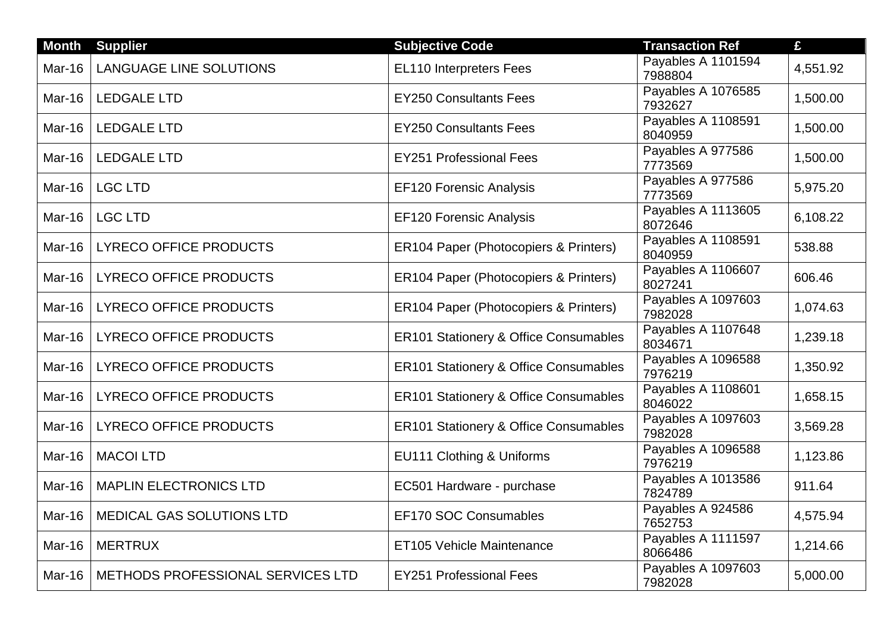| <b>Month</b> | <b>Supplier</b>                   | <b>Subjective Code</b>                           | <b>Transaction Ref</b>        | £        |
|--------------|-----------------------------------|--------------------------------------------------|-------------------------------|----------|
| Mar-16       | <b>LANGUAGE LINE SOLUTIONS</b>    | <b>EL110 Interpreters Fees</b>                   | Payables A 1101594<br>7988804 | 4,551.92 |
| Mar-16       | <b>LEDGALE LTD</b>                | <b>EY250 Consultants Fees</b>                    | Payables A 1076585<br>7932627 | 1,500.00 |
| Mar-16       | <b>LEDGALE LTD</b>                | <b>EY250 Consultants Fees</b>                    | Payables A 1108591<br>8040959 | 1,500.00 |
| Mar-16       | <b>LEDGALE LTD</b>                | <b>EY251 Professional Fees</b>                   | Payables A 977586<br>7773569  | 1,500.00 |
| Mar-16       | <b>LGC LTD</b>                    | <b>EF120 Forensic Analysis</b>                   | Payables A 977586<br>7773569  | 5,975.20 |
| Mar-16       | <b>LGC LTD</b>                    | <b>EF120 Forensic Analysis</b>                   | Payables A 1113605<br>8072646 | 6,108.22 |
| Mar-16       | <b>LYRECO OFFICE PRODUCTS</b>     | ER104 Paper (Photocopiers & Printers)            | Payables A 1108591<br>8040959 | 538.88   |
| Mar-16       | <b>LYRECO OFFICE PRODUCTS</b>     | ER104 Paper (Photocopiers & Printers)            | Payables A 1106607<br>8027241 | 606.46   |
| Mar-16       | <b>LYRECO OFFICE PRODUCTS</b>     | ER104 Paper (Photocopiers & Printers)            | Payables A 1097603<br>7982028 | 1,074.63 |
| Mar-16       | <b>LYRECO OFFICE PRODUCTS</b>     | ER101 Stationery & Office Consumables            | Payables A 1107648<br>8034671 | 1,239.18 |
| Mar-16       | <b>LYRECO OFFICE PRODUCTS</b>     | <b>ER101 Stationery &amp; Office Consumables</b> | Payables A 1096588<br>7976219 | 1,350.92 |
| Mar-16       | <b>LYRECO OFFICE PRODUCTS</b>     | <b>ER101 Stationery &amp; Office Consumables</b> | Payables A 1108601<br>8046022 | 1,658.15 |
| Mar-16       | <b>LYRECO OFFICE PRODUCTS</b>     | <b>ER101 Stationery &amp; Office Consumables</b> | Payables A 1097603<br>7982028 | 3,569.28 |
| Mar-16       | <b>MACOI LTD</b>                  | EU111 Clothing & Uniforms                        | Payables A 1096588<br>7976219 | 1,123.86 |
| Mar-16       | <b>MAPLIN ELECTRONICS LTD</b>     | EC501 Hardware - purchase                        | Payables A 1013586<br>7824789 | 911.64   |
| Mar-16       | MEDICAL GAS SOLUTIONS LTD         | EF170 SOC Consumables                            | Payables A 924586<br>7652753  | 4,575.94 |
| Mar-16       | <b>MERTRUX</b>                    | ET105 Vehicle Maintenance                        | Payables A 1111597<br>8066486 | 1,214.66 |
| Mar-16       | METHODS PROFESSIONAL SERVICES LTD | <b>EY251 Professional Fees</b>                   | Payables A 1097603<br>7982028 | 5,000.00 |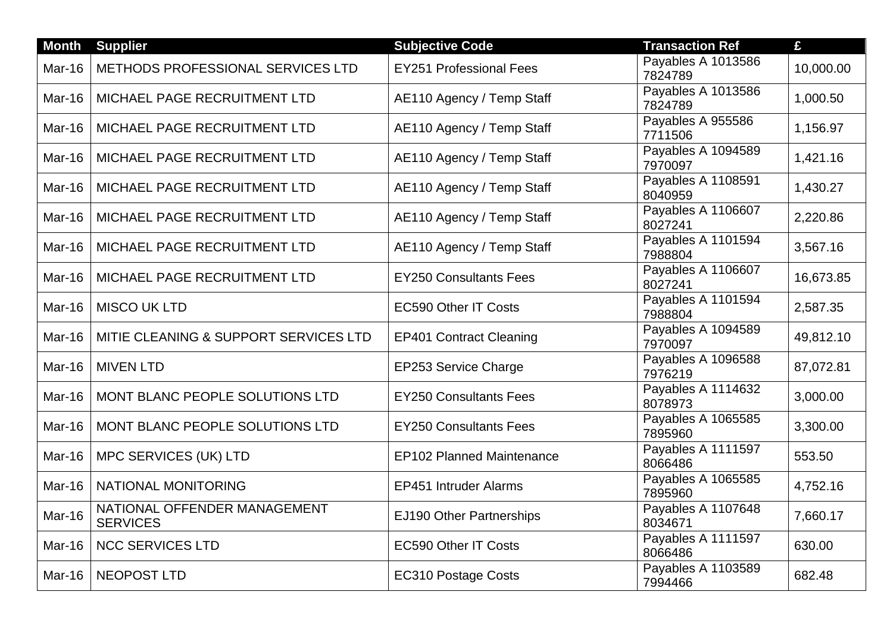| <b>Month</b>  | <b>Supplier</b>                                 | <b>Subjective Code</b>           | <b>Transaction Ref</b>        | £         |
|---------------|-------------------------------------------------|----------------------------------|-------------------------------|-----------|
| Mar-16        | METHODS PROFESSIONAL SERVICES LTD               | <b>EY251 Professional Fees</b>   | Payables A 1013586<br>7824789 | 10,000.00 |
| Mar-16        | MICHAEL PAGE RECRUITMENT LTD                    | AE110 Agency / Temp Staff        | Payables A 1013586<br>7824789 | 1,000.50  |
| Mar-16        | MICHAEL PAGE RECRUITMENT LTD                    | AE110 Agency / Temp Staff        | Payables A 955586<br>7711506  | 1,156.97  |
| Mar-16        | MICHAEL PAGE RECRUITMENT LTD                    | AE110 Agency / Temp Staff        | Payables A 1094589<br>7970097 | 1,421.16  |
| Mar-16        | MICHAEL PAGE RECRUITMENT LTD                    | AE110 Agency / Temp Staff        | Payables A 1108591<br>8040959 | 1,430.27  |
| Mar-16        | MICHAEL PAGE RECRUITMENT LTD                    | AE110 Agency / Temp Staff        | Payables A 1106607<br>8027241 | 2,220.86  |
| Mar-16        | MICHAEL PAGE RECRUITMENT LTD                    | AE110 Agency / Temp Staff        | Payables A 1101594<br>7988804 | 3,567.16  |
| Mar-16        | MICHAEL PAGE RECRUITMENT LTD                    | <b>EY250 Consultants Fees</b>    | Payables A 1106607<br>8027241 | 16,673.85 |
| Mar-16        | <b>MISCO UK LTD</b>                             | <b>EC590 Other IT Costs</b>      | Payables A 1101594<br>7988804 | 2,587.35  |
| Mar-16        | MITIE CLEANING & SUPPORT SERVICES LTD           | <b>EP401 Contract Cleaning</b>   | Payables A 1094589<br>7970097 | 49,812.10 |
| <b>Mar-16</b> | <b>MIVEN LTD</b>                                | EP253 Service Charge             | Payables A 1096588<br>7976219 | 87,072.81 |
| Mar-16        | MONT BLANC PEOPLE SOLUTIONS LTD                 | <b>EY250 Consultants Fees</b>    | Payables A 1114632<br>8078973 | 3,000.00  |
| <b>Mar-16</b> | MONT BLANC PEOPLE SOLUTIONS LTD                 | <b>EY250 Consultants Fees</b>    | Payables A 1065585<br>7895960 | 3,300.00  |
| Mar-16        | <b>MPC SERVICES (UK) LTD</b>                    | <b>EP102 Planned Maintenance</b> | Payables A 1111597<br>8066486 | 553.50    |
| Mar-16        | <b>NATIONAL MONITORING</b>                      | <b>EP451 Intruder Alarms</b>     | Payables A 1065585<br>7895960 | 4,752.16  |
| Mar-16        | NATIONAL OFFENDER MANAGEMENT<br><b>SERVICES</b> | EJ190 Other Partnerships         | Payables A 1107648<br>8034671 | 7,660.17  |
| <b>Mar-16</b> | <b>NCC SERVICES LTD</b>                         | <b>EC590 Other IT Costs</b>      | Payables A 1111597<br>8066486 | 630.00    |
| <b>Mar-16</b> | <b>NEOPOST LTD</b>                              | <b>EC310 Postage Costs</b>       | Payables A 1103589<br>7994466 | 682.48    |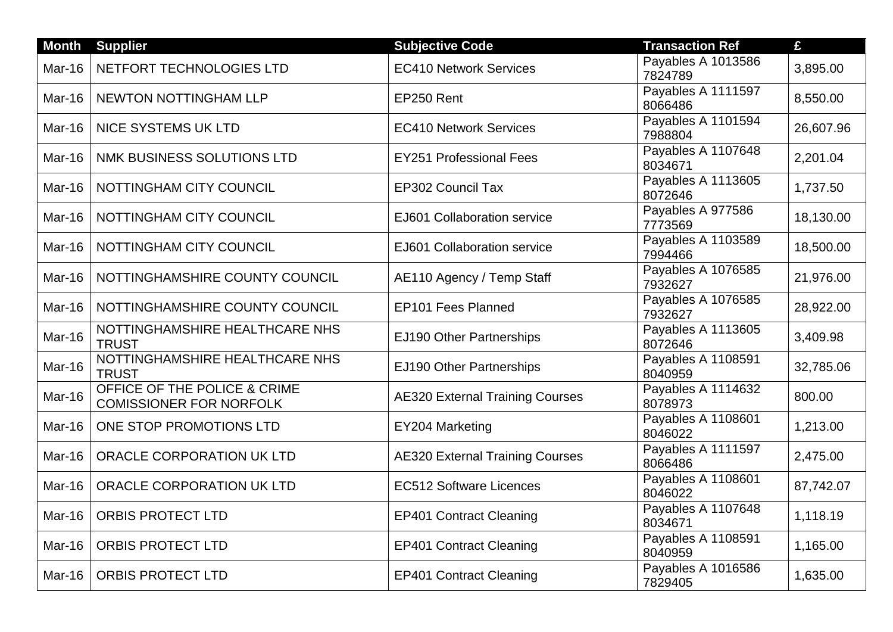| <b>Month</b>  | <b>Supplier</b>                                                | <b>Subjective Code</b>                 | <b>Transaction Ref</b>        | £         |
|---------------|----------------------------------------------------------------|----------------------------------------|-------------------------------|-----------|
| Mar-16        | NETFORT TECHNOLOGIES LTD                                       | <b>EC410 Network Services</b>          | Payables A 1013586<br>7824789 | 3,895.00  |
| Mar-16        | NEWTON NOTTINGHAM LLP                                          | EP250 Rent                             | Payables A 1111597<br>8066486 | 8,550.00  |
| Mar-16        | <b>NICE SYSTEMS UK LTD</b>                                     | <b>EC410 Network Services</b>          | Payables A 1101594<br>7988804 | 26,607.96 |
| Mar-16        | NMK BUSINESS SOLUTIONS LTD                                     | <b>EY251 Professional Fees</b>         | Payables A 1107648<br>8034671 | 2,201.04  |
| Mar-16        | NOTTINGHAM CITY COUNCIL                                        | <b>EP302 Council Tax</b>               | Payables A 1113605<br>8072646 | 1,737.50  |
| Mar-16        | NOTTINGHAM CITY COUNCIL                                        | EJ601 Collaboration service            | Payables A 977586<br>7773569  | 18,130.00 |
| Mar-16        | NOTTINGHAM CITY COUNCIL                                        | EJ601 Collaboration service            | Payables A 1103589<br>7994466 | 18,500.00 |
| Mar-16        | NOTTINGHAMSHIRE COUNTY COUNCIL                                 | AE110 Agency / Temp Staff              | Payables A 1076585<br>7932627 | 21,976.00 |
| Mar-16        | NOTTINGHAMSHIRE COUNTY COUNCIL                                 | EP101 Fees Planned                     | Payables A 1076585<br>7932627 | 28,922.00 |
| Mar-16        | NOTTINGHAMSHIRE HEALTHCARE NHS<br><b>TRUST</b>                 | EJ190 Other Partnerships               | Payables A 1113605<br>8072646 | 3,409.98  |
| Mar-16        | NOTTINGHAMSHIRE HEALTHCARE NHS<br><b>TRUST</b>                 | EJ190 Other Partnerships               | Payables A 1108591<br>8040959 | 32,785.06 |
| Mar-16        | OFFICE OF THE POLICE & CRIME<br><b>COMISSIONER FOR NORFOLK</b> | <b>AE320 External Training Courses</b> | Payables A 1114632<br>8078973 | 800.00    |
| Mar-16        | ONE STOP PROMOTIONS LTD                                        | EY204 Marketing                        | Payables A 1108601<br>8046022 | 1,213.00  |
| Mar-16        | ORACLE CORPORATION UK LTD                                      | <b>AE320 External Training Courses</b> | Payables A 1111597<br>8066486 | 2,475.00  |
| Mar-16        | ORACLE CORPORATION UK LTD                                      | <b>EC512 Software Licences</b>         | Payables A 1108601<br>8046022 | 87,742.07 |
| <b>Mar-16</b> | <b>ORBIS PROTECT LTD</b>                                       | <b>EP401 Contract Cleaning</b>         | Payables A 1107648<br>8034671 | 1,118.19  |
| Mar-16        | <b>ORBIS PROTECT LTD</b>                                       | <b>EP401 Contract Cleaning</b>         | Payables A 1108591<br>8040959 | 1,165.00  |
| Mar-16        | <b>ORBIS PROTECT LTD</b>                                       | <b>EP401 Contract Cleaning</b>         | Payables A 1016586<br>7829405 | 1,635.00  |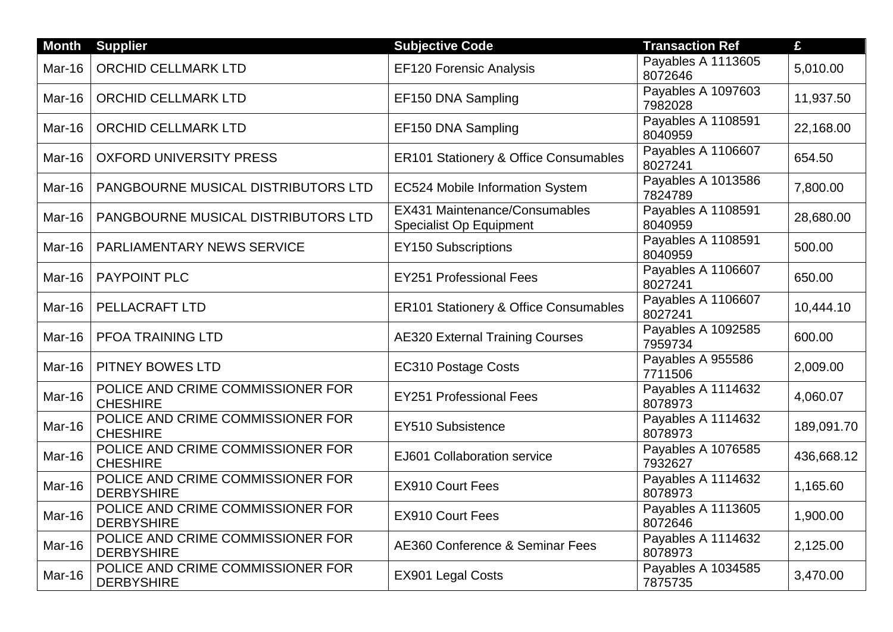| <b>Month</b>  | <b>Supplier</b>                                        | <b>Subjective Code</b>                                          | <b>Transaction Ref</b>        | £          |
|---------------|--------------------------------------------------------|-----------------------------------------------------------------|-------------------------------|------------|
| Mar-16        | <b>ORCHID CELLMARK LTD</b>                             | <b>EF120 Forensic Analysis</b>                                  | Payables A 1113605<br>8072646 | 5,010.00   |
| Mar-16        | <b>ORCHID CELLMARK LTD</b>                             | EF150 DNA Sampling                                              | Payables A 1097603<br>7982028 | 11,937.50  |
| Mar-16        | <b>ORCHID CELLMARK LTD</b>                             | EF150 DNA Sampling                                              | Payables A 1108591<br>8040959 | 22,168.00  |
| Mar-16        | <b>OXFORD UNIVERSITY PRESS</b>                         | <b>ER101 Stationery &amp; Office Consumables</b>                | Payables A 1106607<br>8027241 | 654.50     |
| Mar-16        | PANGBOURNE MUSICAL DISTRIBUTORS LTD                    | EC524 Mobile Information System                                 | Payables A 1013586<br>7824789 | 7,800.00   |
| Mar-16        | PANGBOURNE MUSICAL DISTRIBUTORS LTD                    | EX431 Maintenance/Consumables<br><b>Specialist Op Equipment</b> | Payables A 1108591<br>8040959 | 28,680.00  |
| Mar-16        | <b>PARLIAMENTARY NEWS SERVICE</b>                      | <b>EY150 Subscriptions</b>                                      | Payables A 1108591<br>8040959 | 500.00     |
| Mar-16        | <b>PAYPOINT PLC</b>                                    | <b>EY251 Professional Fees</b>                                  | Payables A 1106607<br>8027241 | 650.00     |
| Mar-16        | PELLACRAFT LTD                                         | <b>ER101 Stationery &amp; Office Consumables</b>                | Payables A 1106607<br>8027241 | 10,444.10  |
| <b>Mar-16</b> | PFOA TRAINING LTD                                      | <b>AE320 External Training Courses</b>                          | Payables A 1092585<br>7959734 | 600.00     |
| Mar-16        | PITNEY BOWES LTD                                       | <b>EC310 Postage Costs</b>                                      | Payables A 955586<br>7711506  | 2,009.00   |
| <b>Mar-16</b> | POLICE AND CRIME COMMISSIONER FOR<br><b>CHESHIRE</b>   | <b>EY251 Professional Fees</b>                                  | Payables A 1114632<br>8078973 | 4,060.07   |
| Mar-16        | POLICE AND CRIME COMMISSIONER FOR<br><b>CHESHIRE</b>   | EY510 Subsistence                                               | Payables A 1114632<br>8078973 | 189,091.70 |
| Mar-16        | POLICE AND CRIME COMMISSIONER FOR<br><b>CHESHIRE</b>   | EJ601 Collaboration service                                     | Payables A 1076585<br>7932627 | 436,668.12 |
| Mar-16        | POLICE AND CRIME COMMISSIONER FOR<br><b>DERBYSHIRE</b> | <b>EX910 Court Fees</b>                                         | Payables A 1114632<br>8078973 | 1,165.60   |
| Mar-16        | POLICE AND CRIME COMMISSIONER FOR<br><b>DERBYSHIRE</b> | EX910 Court Fees                                                | Payables A 1113605<br>8072646 | 1,900.00   |
| Mar-16        | POLICE AND CRIME COMMISSIONER FOR<br><b>DERBYSHIRE</b> | <b>AE360 Conference &amp; Seminar Fees</b>                      | Payables A 1114632<br>8078973 | 2,125.00   |
| Mar-16        | POLICE AND CRIME COMMISSIONER FOR<br><b>DERBYSHIRE</b> | <b>EX901 Legal Costs</b>                                        | Payables A 1034585<br>7875735 | 3,470.00   |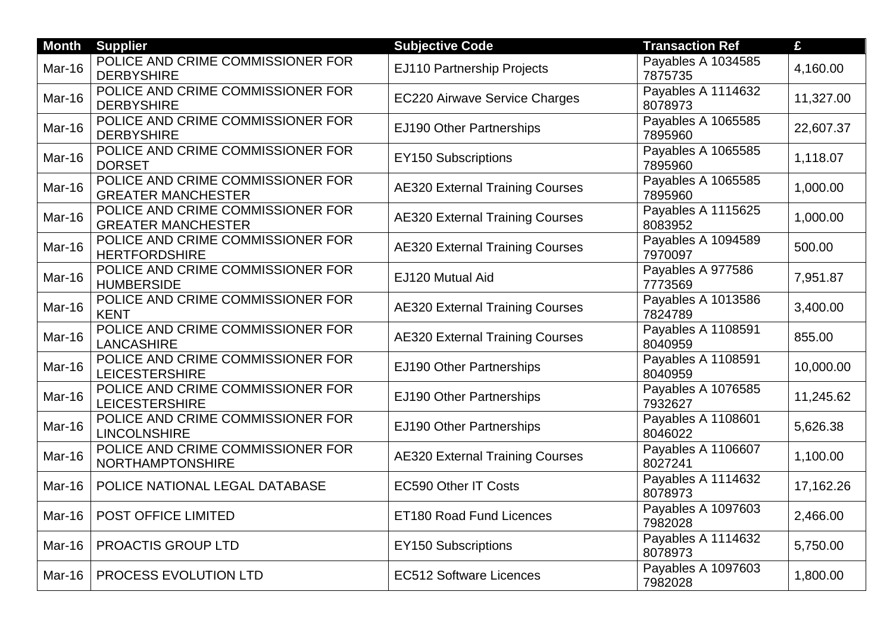| <b>Month</b> | <b>Supplier</b>                                                | <b>Subjective Code</b>                 | <b>Transaction Ref</b>        | £         |
|--------------|----------------------------------------------------------------|----------------------------------------|-------------------------------|-----------|
| Mar-16       | POLICE AND CRIME COMMISSIONER FOR<br><b>DERBYSHIRE</b>         | EJ110 Partnership Projects             | Payables A 1034585<br>7875735 | 4,160.00  |
| Mar-16       | POLICE AND CRIME COMMISSIONER FOR<br><b>DERBYSHIRE</b>         | <b>EC220 Airwave Service Charges</b>   | Payables A 1114632<br>8078973 | 11,327.00 |
| Mar-16       | POLICE AND CRIME COMMISSIONER FOR<br><b>DERBYSHIRE</b>         | EJ190 Other Partnerships               | Payables A 1065585<br>7895960 | 22,607.37 |
| Mar-16       | POLICE AND CRIME COMMISSIONER FOR<br><b>DORSET</b>             | <b>EY150 Subscriptions</b>             | Payables A 1065585<br>7895960 | 1,118.07  |
| Mar-16       | POLICE AND CRIME COMMISSIONER FOR<br><b>GREATER MANCHESTER</b> | <b>AE320 External Training Courses</b> | Payables A 1065585<br>7895960 | 1,000.00  |
| Mar-16       | POLICE AND CRIME COMMISSIONER FOR<br><b>GREATER MANCHESTER</b> | <b>AE320 External Training Courses</b> | Payables A 1115625<br>8083952 | 1,000.00  |
| Mar-16       | POLICE AND CRIME COMMISSIONER FOR<br><b>HERTFORDSHIRE</b>      | <b>AE320 External Training Courses</b> | Payables A 1094589<br>7970097 | 500.00    |
| Mar-16       | POLICE AND CRIME COMMISSIONER FOR<br><b>HUMBERSIDE</b>         | EJ120 Mutual Aid                       | Payables A 977586<br>7773569  | 7,951.87  |
| Mar-16       | POLICE AND CRIME COMMISSIONER FOR<br><b>KENT</b>               | <b>AE320 External Training Courses</b> | Payables A 1013586<br>7824789 | 3,400.00  |
| Mar-16       | POLICE AND CRIME COMMISSIONER FOR<br><b>LANCASHIRE</b>         | <b>AE320 External Training Courses</b> | Payables A 1108591<br>8040959 | 855.00    |
| Mar-16       | POLICE AND CRIME COMMISSIONER FOR<br><b>LEICESTERSHIRE</b>     | EJ190 Other Partnerships               | Payables A 1108591<br>8040959 | 10,000.00 |
| Mar-16       | POLICE AND CRIME COMMISSIONER FOR<br><b>LEICESTERSHIRE</b>     | EJ190 Other Partnerships               | Payables A 1076585<br>7932627 | 11,245.62 |
| Mar-16       | POLICE AND CRIME COMMISSIONER FOR<br><b>LINCOLNSHIRE</b>       | EJ190 Other Partnerships               | Payables A 1108601<br>8046022 | 5,626.38  |
| Mar-16       | POLICE AND CRIME COMMISSIONER FOR<br>NORTHAMPTONSHIRE          | <b>AE320 External Training Courses</b> | Payables A 1106607<br>8027241 | 1,100.00  |
| Mar-16       | POLICE NATIONAL LEGAL DATABASE                                 | <b>EC590 Other IT Costs</b>            | Payables A 1114632<br>8078973 | 17,162.26 |
| Mar-16       | POST OFFICE LIMITED                                            | ET180 Road Fund Licences               | Payables A 1097603<br>7982028 | 2,466.00  |
| Mar-16       | PROACTIS GROUP LTD                                             | <b>EY150 Subscriptions</b>             | Payables A 1114632<br>8078973 | 5,750.00  |
| Mar-16       | <b>PROCESS EVOLUTION LTD</b>                                   | <b>EC512 Software Licences</b>         | Payables A 1097603<br>7982028 | 1,800.00  |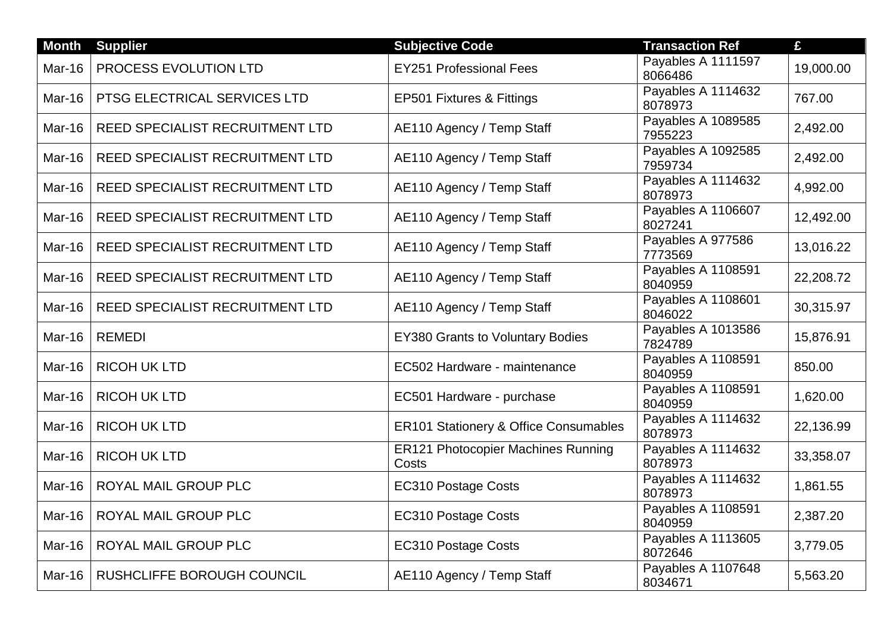| <b>Month</b> | <b>Supplier</b>                 | <b>Subjective Code</b>                             | <b>Transaction Ref</b>        | £         |
|--------------|---------------------------------|----------------------------------------------------|-------------------------------|-----------|
| Mar-16       | PROCESS EVOLUTION LTD           | <b>EY251 Professional Fees</b>                     | Payables A 1111597<br>8066486 | 19,000.00 |
| Mar-16       | PTSG ELECTRICAL SERVICES LTD    | EP501 Fixtures & Fittings                          | Payables A 1114632<br>8078973 | 767.00    |
| Mar-16       | REED SPECIALIST RECRUITMENT LTD | AE110 Agency / Temp Staff                          | Payables A 1089585<br>7955223 | 2,492.00  |
| Mar-16       | REED SPECIALIST RECRUITMENT LTD | AE110 Agency / Temp Staff                          | Payables A 1092585<br>7959734 | 2,492.00  |
| Mar-16       | REED SPECIALIST RECRUITMENT LTD | AE110 Agency / Temp Staff                          | Payables A 1114632<br>8078973 | 4,992.00  |
| Mar-16       | REED SPECIALIST RECRUITMENT LTD | AE110 Agency / Temp Staff                          | Payables A 1106607<br>8027241 | 12,492.00 |
| Mar-16       | REED SPECIALIST RECRUITMENT LTD | AE110 Agency / Temp Staff                          | Payables A 977586<br>7773569  | 13,016.22 |
| Mar-16       | REED SPECIALIST RECRUITMENT LTD | AE110 Agency / Temp Staff                          | Payables A 1108591<br>8040959 | 22,208.72 |
| Mar-16       | REED SPECIALIST RECRUITMENT LTD | AE110 Agency / Temp Staff                          | Payables A 1108601<br>8046022 | 30,315.97 |
| Mar-16       | <b>REMEDI</b>                   | <b>EY380 Grants to Voluntary Bodies</b>            | Payables A 1013586<br>7824789 | 15,876.91 |
| Mar-16       | <b>RICOH UK LTD</b>             | EC502 Hardware - maintenance                       | Payables A 1108591<br>8040959 | 850.00    |
| Mar-16       | <b>RICOH UK LTD</b>             | EC501 Hardware - purchase                          | Payables A 1108591<br>8040959 | 1,620.00  |
| Mar-16       | <b>RICOH UK LTD</b>             | ER101 Stationery & Office Consumables              | Payables A 1114632<br>8078973 | 22,136.99 |
| Mar-16       | <b>RICOH UK LTD</b>             | <b>ER121 Photocopier Machines Running</b><br>Costs | Payables A 1114632<br>8078973 | 33,358.07 |
| Mar-16       | ROYAL MAIL GROUP PLC            | <b>EC310 Postage Costs</b>                         | Payables A 1114632<br>8078973 | 1,861.55  |
| Mar-16       | ROYAL MAIL GROUP PLC            | <b>EC310 Postage Costs</b>                         | Payables A 1108591<br>8040959 | 2,387.20  |
| Mar-16       | ROYAL MAIL GROUP PLC            | <b>EC310 Postage Costs</b>                         | Payables A 1113605<br>8072646 | 3,779.05  |
| Mar-16       | RUSHCLIFFE BOROUGH COUNCIL      | AE110 Agency / Temp Staff                          | Payables A 1107648<br>8034671 | 5,563.20  |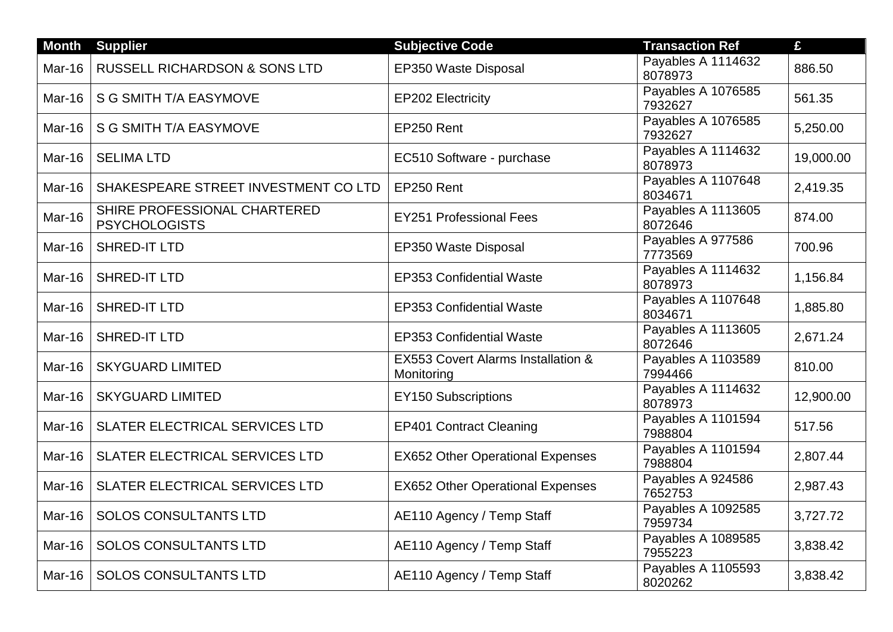| <b>Month</b>  | <b>Supplier</b>                                      | <b>Subjective Code</b>                           | <b>Transaction Ref</b>        | £         |
|---------------|------------------------------------------------------|--------------------------------------------------|-------------------------------|-----------|
| Mar-16        | <b>RUSSELL RICHARDSON &amp; SONS LTD</b>             | EP350 Waste Disposal                             | Payables A 1114632<br>8078973 | 886.50    |
| Mar-16        | S G SMITH T/A EASYMOVE                               | <b>EP202 Electricity</b>                         | Payables A 1076585<br>7932627 | 561.35    |
| Mar-16        | <b>S G SMITH T/A EASYMOVE</b>                        | EP250 Rent                                       | Payables A 1076585<br>7932627 | 5,250.00  |
| Mar-16        | <b>SELIMA LTD</b>                                    | EC510 Software - purchase                        | Payables A 1114632<br>8078973 | 19,000.00 |
| Mar-16        | SHAKESPEARE STREET INVESTMENT COLTD                  | EP250 Rent                                       | Payables A 1107648<br>8034671 | 2,419.35  |
| Mar-16        | SHIRE PROFESSIONAL CHARTERED<br><b>PSYCHOLOGISTS</b> | <b>EY251 Professional Fees</b>                   | Payables A 1113605<br>8072646 | 874.00    |
| Mar-16        | <b>SHRED-IT LTD</b>                                  | EP350 Waste Disposal                             | Payables A 977586<br>7773569  | 700.96    |
| Mar-16        | SHRED-IT LTD                                         | <b>EP353 Confidential Waste</b>                  | Payables A 1114632<br>8078973 | 1,156.84  |
| Mar-16        | SHRED-IT LTD                                         | <b>EP353 Confidential Waste</b>                  | Payables A 1107648<br>8034671 | 1,885.80  |
| Mar-16        | <b>SHRED-IT LTD</b>                                  | <b>EP353 Confidential Waste</b>                  | Payables A 1113605<br>8072646 | 2,671.24  |
| Mar-16        | <b>SKYGUARD LIMITED</b>                              | EX553 Covert Alarms Installation &<br>Monitoring | Payables A 1103589<br>7994466 | 810.00    |
| <b>Mar-16</b> | <b>SKYGUARD LIMITED</b>                              | <b>EY150 Subscriptions</b>                       | Payables A 1114632<br>8078973 | 12,900.00 |
| <b>Mar-16</b> | <b>SLATER ELECTRICAL SERVICES LTD</b>                | <b>EP401 Contract Cleaning</b>                   | Payables A 1101594<br>7988804 | 517.56    |
| Mar-16        | SLATER ELECTRICAL SERVICES LTD                       | <b>EX652 Other Operational Expenses</b>          | Payables A 1101594<br>7988804 | 2,807.44  |
| Mar-16        | <b>SLATER ELECTRICAL SERVICES LTD</b>                | <b>EX652 Other Operational Expenses</b>          | Payables A 924586<br>7652753  | 2,987.43  |
| Mar-16        | <b>SOLOS CONSULTANTS LTD</b>                         | AE110 Agency / Temp Staff                        | Payables A 1092585<br>7959734 | 3,727.72  |
| <b>Mar-16</b> | <b>SOLOS CONSULTANTS LTD</b>                         | AE110 Agency / Temp Staff                        | Payables A 1089585<br>7955223 | 3,838.42  |
| Mar-16        | <b>SOLOS CONSULTANTS LTD</b>                         | AE110 Agency / Temp Staff                        | Payables A 1105593<br>8020262 | 3,838.42  |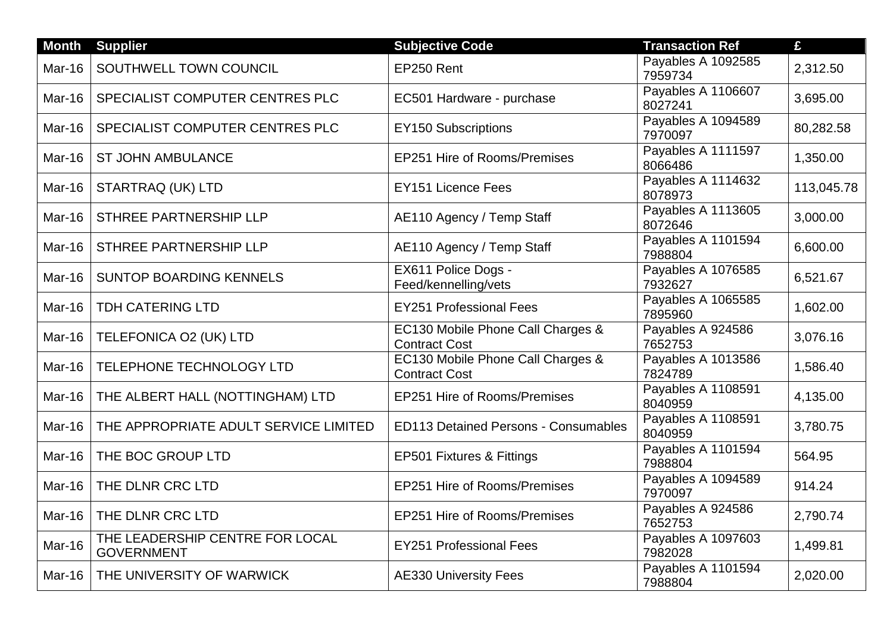| <b>Month</b>  | <b>Supplier</b>                                      | <b>Subjective Code</b>                                    | <b>Transaction Ref</b>        | £          |
|---------------|------------------------------------------------------|-----------------------------------------------------------|-------------------------------|------------|
| Mar-16        | SOUTHWELL TOWN COUNCIL                               | EP250 Rent                                                | Payables A 1092585<br>7959734 | 2,312.50   |
| Mar-16        | SPECIALIST COMPUTER CENTRES PLC                      | EC501 Hardware - purchase                                 | Payables A 1106607<br>8027241 | 3,695.00   |
| Mar-16        | SPECIALIST COMPUTER CENTRES PLC                      | <b>EY150 Subscriptions</b>                                | Payables A 1094589<br>7970097 | 80,282.58  |
| Mar-16        | <b>ST JOHN AMBULANCE</b>                             | EP251 Hire of Rooms/Premises                              | Payables A 1111597<br>8066486 | 1,350.00   |
| Mar-16        | STARTRAQ (UK) LTD                                    | <b>EY151 Licence Fees</b>                                 | Payables A 1114632<br>8078973 | 113,045.78 |
| Mar-16        | STHREE PARTNERSHIP LLP                               | AE110 Agency / Temp Staff                                 | Payables A 1113605<br>8072646 | 3,000.00   |
| Mar-16        | STHREE PARTNERSHIP LLP                               | AE110 Agency / Temp Staff                                 | Payables A 1101594<br>7988804 | 6,600.00   |
| Mar-16        | <b>SUNTOP BOARDING KENNELS</b>                       | EX611 Police Dogs -<br>Feed/kennelling/vets               | Payables A 1076585<br>7932627 | 6,521.67   |
| Mar-16        | <b>TDH CATERING LTD</b>                              | <b>EY251 Professional Fees</b>                            | Payables A 1065585<br>7895960 | 1,602.00   |
| <b>Mar-16</b> | TELEFONICA O2 (UK) LTD                               | EC130 Mobile Phone Call Charges &<br><b>Contract Cost</b> | Payables A 924586<br>7652753  | 3,076.16   |
| <b>Mar-16</b> | TELEPHONE TECHNOLOGY LTD                             | EC130 Mobile Phone Call Charges &<br><b>Contract Cost</b> | Payables A 1013586<br>7824789 | 1,586.40   |
| Mar-16        | THE ALBERT HALL (NOTTINGHAM) LTD                     | EP251 Hire of Rooms/Premises                              | Payables A 1108591<br>8040959 | 4,135.00   |
| <b>Mar-16</b> | THE APPROPRIATE ADULT SERVICE LIMITED                | <b>ED113 Detained Persons - Consumables</b>               | Payables A 1108591<br>8040959 | 3,780.75   |
| <b>Mar-16</b> | THE BOC GROUP LTD                                    | EP501 Fixtures & Fittings                                 | Payables A 1101594<br>7988804 | 564.95     |
| <b>Mar-16</b> | THE DLNR CRC LTD                                     | EP251 Hire of Rooms/Premises                              | Payables A 1094589<br>7970097 | 914.24     |
| <b>Mar-16</b> | THE DLNR CRC LTD                                     | EP251 Hire of Rooms/Premises                              | Payables A 924586<br>7652753  | 2,790.74   |
| Mar-16        | THE LEADERSHIP CENTRE FOR LOCAL<br><b>GOVERNMENT</b> | <b>EY251 Professional Fees</b>                            | Payables A 1097603<br>7982028 | 1,499.81   |
| <b>Mar-16</b> | THE UNIVERSITY OF WARWICK                            | <b>AE330 University Fees</b>                              | Payables A 1101594<br>7988804 | 2,020.00   |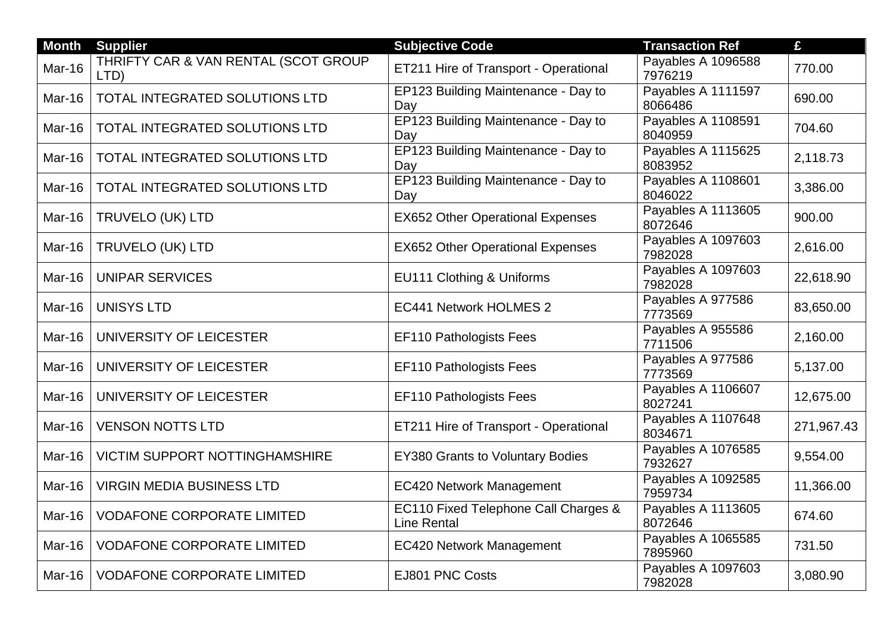| <b>Month</b>  | <b>Supplier</b>                              | <b>Subjective Code</b>                                     | <b>Transaction Ref</b>        | £          |
|---------------|----------------------------------------------|------------------------------------------------------------|-------------------------------|------------|
| Mar-16        | THRIFTY CAR & VAN RENTAL (SCOT GROUP<br>LTD) | ET211 Hire of Transport - Operational                      | Payables A 1096588<br>7976219 | 770.00     |
| Mar-16        | TOTAL INTEGRATED SOLUTIONS LTD               | EP123 Building Maintenance - Day to<br>Day                 | Payables A 1111597<br>8066486 | 690.00     |
| Mar-16        | <b>TOTAL INTEGRATED SOLUTIONS LTD</b>        | EP123 Building Maintenance - Day to<br>Day                 | Payables A 1108591<br>8040959 | 704.60     |
| Mar-16        | TOTAL INTEGRATED SOLUTIONS LTD               | EP123 Building Maintenance - Day to<br>Day                 | Payables A 1115625<br>8083952 | 2,118.73   |
| Mar-16        | TOTAL INTEGRATED SOLUTIONS LTD               | EP123 Building Maintenance - Day to<br>Day                 | Payables A 1108601<br>8046022 | 3,386.00   |
| Mar-16        | <b>TRUVELO (UK) LTD</b>                      | <b>EX652 Other Operational Expenses</b>                    | Payables A 1113605<br>8072646 | 900.00     |
| Mar-16        | TRUVELO (UK) LTD                             | <b>EX652 Other Operational Expenses</b>                    | Payables A 1097603<br>7982028 | 2,616.00   |
| Mar-16        | <b>UNIPAR SERVICES</b>                       | EU111 Clothing & Uniforms                                  | Payables A 1097603<br>7982028 | 22,618.90  |
| Mar-16        | <b>UNISYS LTD</b>                            | <b>EC441 Network HOLMES 2</b>                              | Payables A 977586<br>7773569  | 83,650.00  |
| Mar-16        | UNIVERSITY OF LEICESTER                      | <b>EF110 Pathologists Fees</b>                             | Payables A 955586<br>7711506  | 2,160.00   |
| <b>Mar-16</b> | UNIVERSITY OF LEICESTER                      | <b>EF110 Pathologists Fees</b>                             | Payables A 977586<br>7773569  | 5,137.00   |
| Mar-16        | UNIVERSITY OF LEICESTER                      | <b>EF110 Pathologists Fees</b>                             | Payables A 1106607<br>8027241 | 12,675.00  |
| <b>Mar-16</b> | <b>VENSON NOTTS LTD</b>                      | ET211 Hire of Transport - Operational                      | Payables A 1107648<br>8034671 | 271,967.43 |
| Mar-16        | <b>VICTIM SUPPORT NOTTINGHAMSHIRE</b>        | <b>EY380 Grants to Voluntary Bodies</b>                    | Payables A 1076585<br>7932627 | 9,554.00   |
| <b>Mar-16</b> | <b>VIRGIN MEDIA BUSINESS LTD</b>             | <b>EC420 Network Management</b>                            | Payables A 1092585<br>7959734 | 11,366.00  |
| Mar-16        | <b>VODAFONE CORPORATE LIMITED</b>            | EC110 Fixed Telephone Call Charges &<br><b>Line Rental</b> | Payables A 1113605<br>8072646 | 674.60     |
| <b>Mar-16</b> | <b>VODAFONE CORPORATE LIMITED</b>            | <b>EC420 Network Management</b>                            | Payables A 1065585<br>7895960 | 731.50     |
| Mar-16        | <b>VODAFONE CORPORATE LIMITED</b>            | EJ801 PNC Costs                                            | Payables A 1097603<br>7982028 | 3,080.90   |